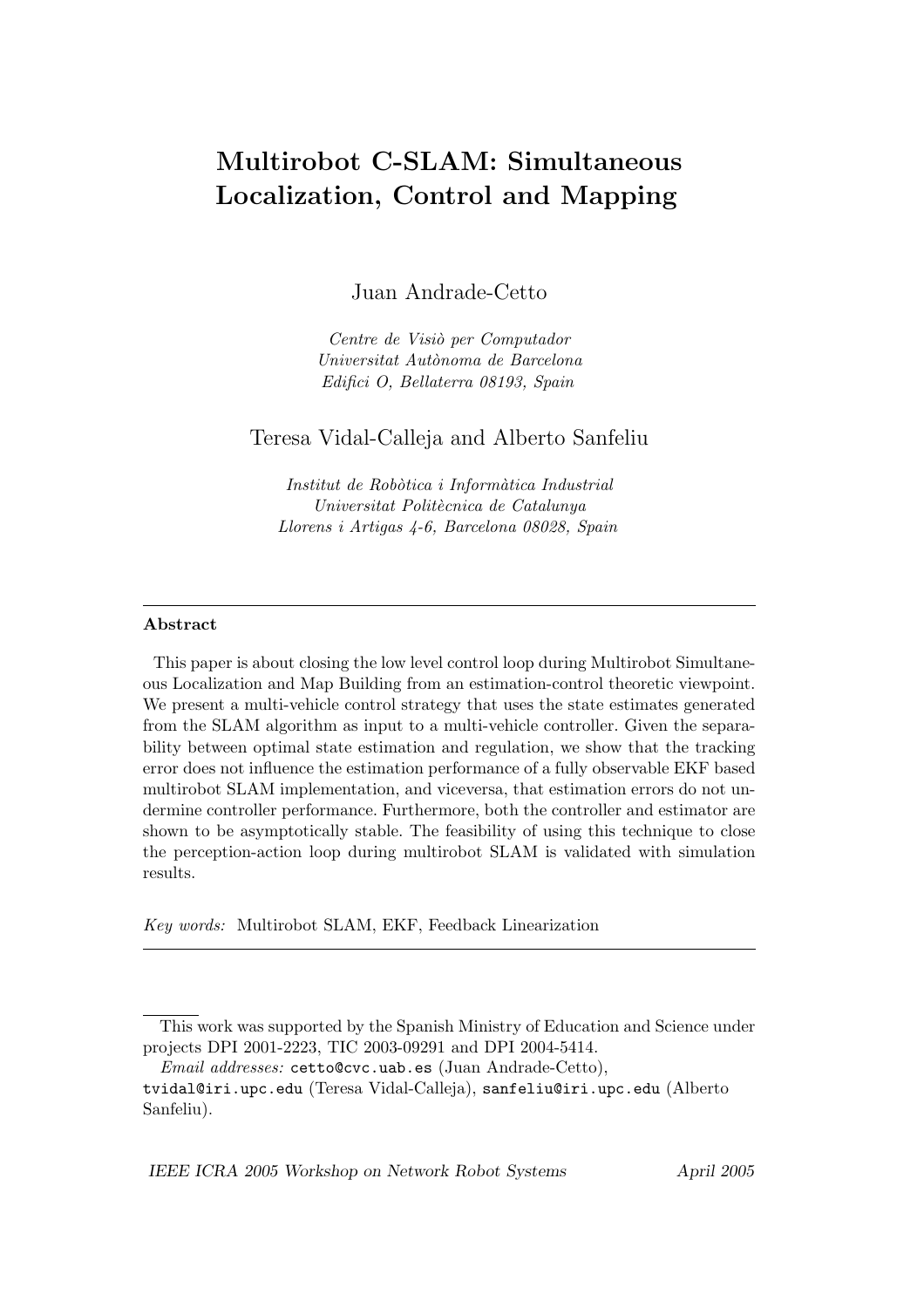# Multirobot C-SLAM: Simultaneous Localization, Control and Mapping

Juan Andrade-Cetto

Centre de Visiò per Computador Universitat Autònoma de Barcelona Edifici O, Bellaterra 08193, Spain

# Teresa Vidal-Calleja and Alberto Sanfeliu

Institut de Robòtica i Informàtica Industrial Universitat Politècnica de Catalunya Llorens i Artigas 4-6, Barcelona 08028, Spain

#### Abstract

This paper is about closing the low level control loop during Multirobot Simultaneous Localization and Map Building from an estimation-control theoretic viewpoint. We present a multi-vehicle control strategy that uses the state estimates generated from the SLAM algorithm as input to a multi-vehicle controller. Given the separability between optimal state estimation and regulation, we show that the tracking error does not influence the estimation performance of a fully observable EKF based multirobot SLAM implementation, and viceversa, that estimation errors do not undermine controller performance. Furthermore, both the controller and estimator are shown to be asymptotically stable. The feasibility of using this technique to close the perception-action loop during multirobot SLAM is validated with simulation results.

Key words: Multirobot SLAM, EKF, Feedback Linearization

IEEE ICRA 2005 Workshop on Network Robot Systems April 2005

This work was supported by the Spanish Ministry of Education and Science under projects DPI 2001-2223, TIC 2003-09291 and DPI 2004-5414.

Email addresses: cetto@cvc.uab.es (Juan Andrade-Cetto),

tvidal@iri.upc.edu (Teresa Vidal-Calleja), sanfeliu@iri.upc.edu (Alberto Sanfeliu).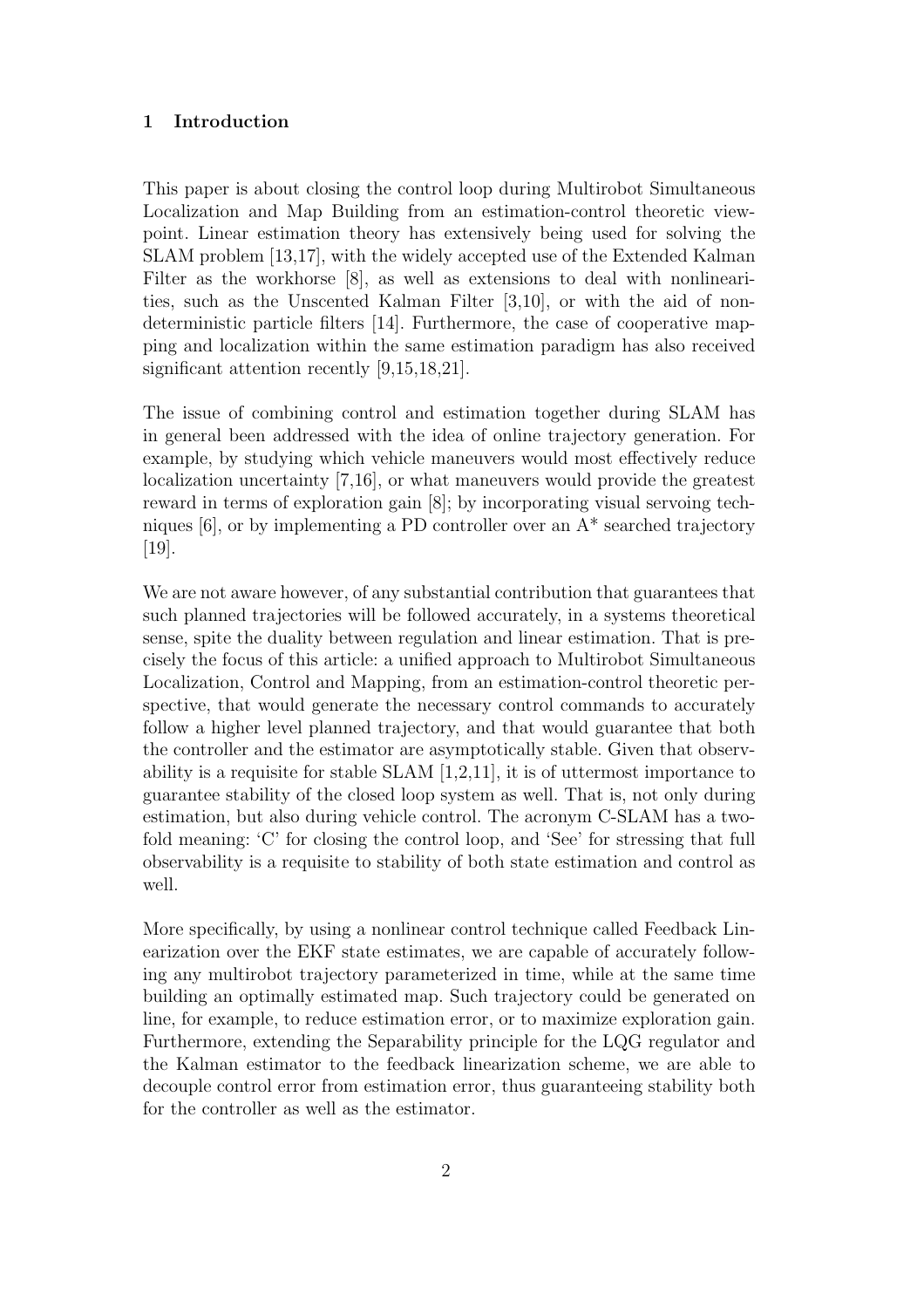#### 1 Introduction

This paper is about closing the control loop during Multirobot Simultaneous Localization and Map Building from an estimation-control theoretic viewpoint. Linear estimation theory has extensively being used for solving the SLAM problem [13,17], with the widely accepted use of the Extended Kalman Filter as the workhorse [8], as well as extensions to deal with nonlinearities, such as the Unscented Kalman Filter [3,10], or with the aid of nondeterministic particle filters [14]. Furthermore, the case of cooperative mapping and localization within the same estimation paradigm has also received significant attention recently [9,15,18,21].

The issue of combining control and estimation together during SLAM has in general been addressed with the idea of online trajectory generation. For example, by studying which vehicle maneuvers would most effectively reduce localization uncertainty [7,16], or what maneuvers would provide the greatest reward in terms of exploration gain [8]; by incorporating visual servoing techniques  $[6]$ , or by implementing a PD controller over an  $A^*$  searched trajectory [19].

We are not aware however, of any substantial contribution that guarantees that such planned trajectories will be followed accurately, in a systems theoretical sense, spite the duality between regulation and linear estimation. That is precisely the focus of this article: a unified approach to Multirobot Simultaneous Localization, Control and Mapping, from an estimation-control theoretic perspective, that would generate the necessary control commands to accurately follow a higher level planned trajectory, and that would guarantee that both the controller and the estimator are asymptotically stable. Given that observability is a requisite for stable SLAM [1,2,11], it is of uttermost importance to guarantee stability of the closed loop system as well. That is, not only during estimation, but also during vehicle control. The acronym C-SLAM has a twofold meaning: 'C' for closing the control loop, and 'See' for stressing that full observability is a requisite to stability of both state estimation and control as well.

More specifically, by using a nonlinear control technique called Feedback Linearization over the EKF state estimates, we are capable of accurately following any multirobot trajectory parameterized in time, while at the same time building an optimally estimated map. Such trajectory could be generated on line, for example, to reduce estimation error, or to maximize exploration gain. Furthermore, extending the Separability principle for the LQG regulator and the Kalman estimator to the feedback linearization scheme, we are able to decouple control error from estimation error, thus guaranteeing stability both for the controller as well as the estimator.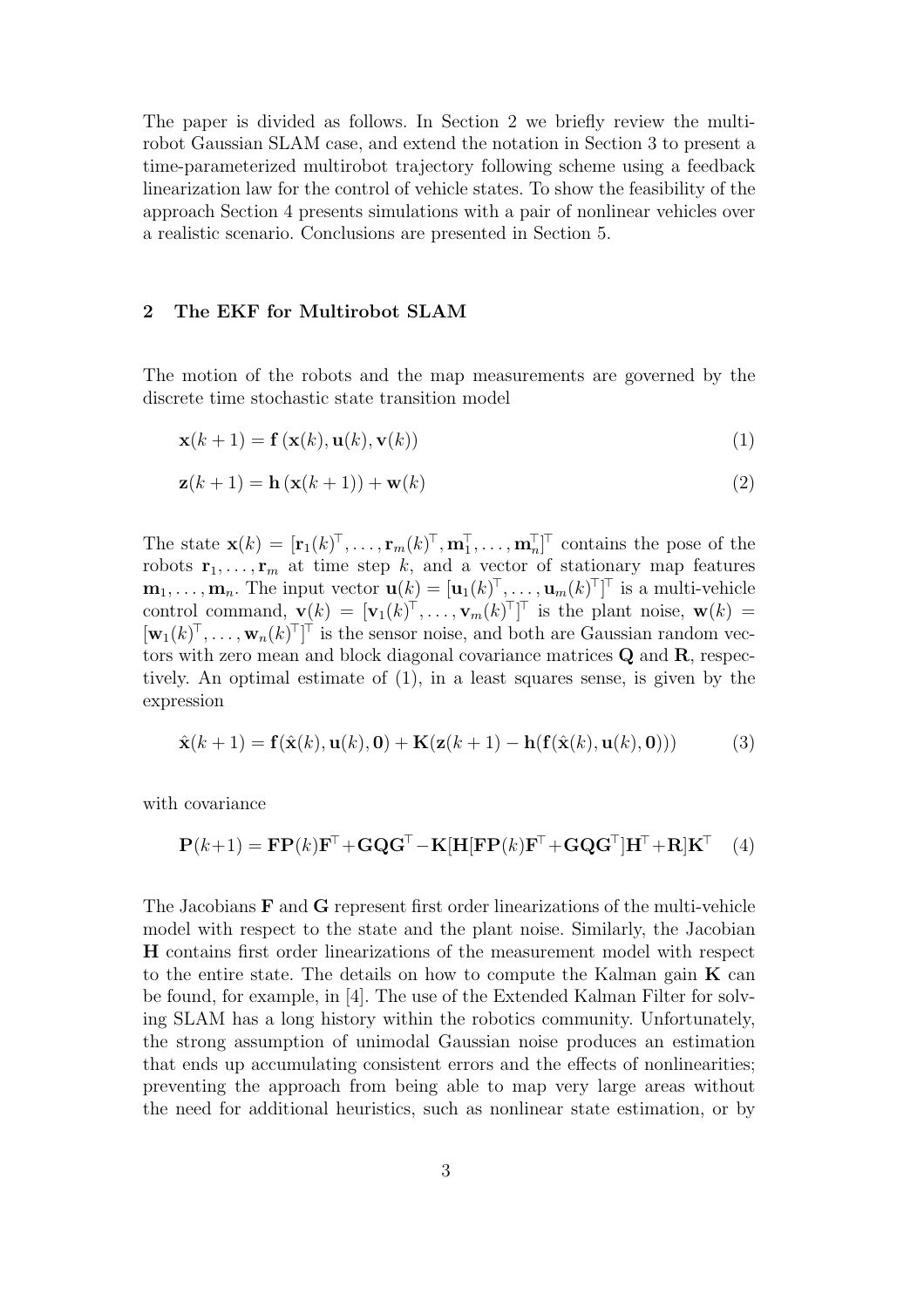The paper is divided as follows. In Section 2 we briefly review the multirobot Gaussian SLAM case, and extend the notation in Section 3 to present a time-parameterized multirobot trajectory following scheme using a feedback linearization law for the control of vehicle states. To show the feasibility of the approach Section 4 presents simulations with a pair of nonlinear vehicles over a realistic scenario. Conclusions are presented in Section 5.

## 2 The EKF for Multirobot SLAM

The motion of the robots and the map measurements are governed by the discrete time stochastic state transition model

$$
\mathbf{x}(k+1) = \mathbf{f}\left(\mathbf{x}(k), \mathbf{u}(k), \mathbf{v}(k)\right) \tag{1}
$$

$$
\mathbf{z}(k+1) = \mathbf{h}\left(\mathbf{x}(k+1)\right) + \mathbf{w}(k) \tag{2}
$$

The state  $\mathbf{x}(k) = [\mathbf{r}_1(k)^\top, \dots, \mathbf{r}_m(k)^\top, \mathbf{m}_1^\top, \dots, \mathbf{m}_n^\top]^\top$  contains the pose of the robots  $\mathbf{r}_1, \ldots, \mathbf{r}_m$  at time step k, and a vector of stationary map features  $\mathbf{m}_1,\ldots,\mathbf{m}_n$ . The input vector  $\mathbf{u}(k) = [\mathbf{u}_1(k)^{\top},\ldots,\mathbf{u}_m(k)^{\top}]^{\top}$  is a multi-vehicle control command,  $\mathbf{v}(k) = [\mathbf{v}_1(k)^\top, \dots, \mathbf{v}_m(k)^\top]^\top$  is the plant noise,  $\mathbf{w}(k) =$  $[\mathbf{w}_1(k)^\top, \ldots, \mathbf{w}_n(k)^\top]^\top$  is the sensor noise, and both are Gaussian random vectors with zero mean and block diagonal covariance matrices Q and R, respectively. An optimal estimate of (1), in a least squares sense, is given by the expression

$$
\hat{\mathbf{x}}(k+1) = \mathbf{f}(\hat{\mathbf{x}}(k), \mathbf{u}(k), \mathbf{0}) + \mathbf{K}(\mathbf{z}(k+1) - \mathbf{h}(\mathbf{f}(\hat{\mathbf{x}}(k), \mathbf{u}(k), \mathbf{0})))
$$
(3)

with covariance

$$
\mathbf{P}(k+1) = \mathbf{F} \mathbf{P}(k) \mathbf{F}^{\mathsf{T}} + \mathbf{G} \mathbf{Q} \mathbf{G}^{\mathsf{T}} - \mathbf{K} [\mathbf{H} [\mathbf{F} \mathbf{P}(k) \mathbf{F}^{\mathsf{T}} + \mathbf{G} \mathbf{Q} \mathbf{G}^{\mathsf{T}}] \mathbf{H}^{\mathsf{T}} + \mathbf{R} ] \mathbf{K}^{\mathsf{T}} \quad (4)
$$

The Jacobians F and G represent first order linearizations of the multi-vehicle model with respect to the state and the plant noise. Similarly, the Jacobian H contains first order linearizations of the measurement model with respect to the entire state. The details on how to compute the Kalman gain  $\bf{K}$  can be found, for example, in [4]. The use of the Extended Kalman Filter for solving SLAM has a long history within the robotics community. Unfortunately, the strong assumption of unimodal Gaussian noise produces an estimation that ends up accumulating consistent errors and the effects of nonlinearities; preventing the approach from being able to map very large areas without the need for additional heuristics, such as nonlinear state estimation, or by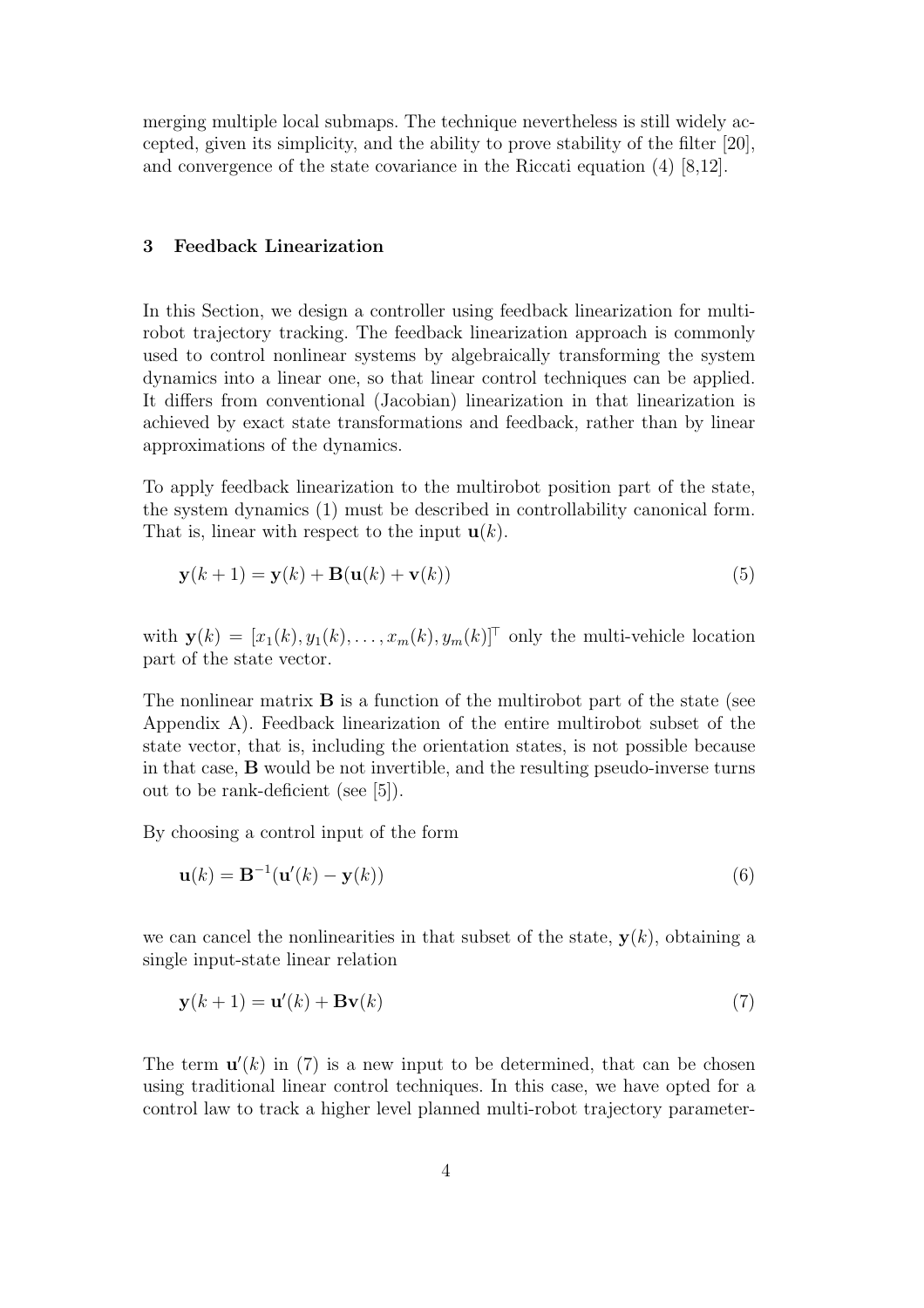merging multiple local submaps. The technique nevertheless is still widely accepted, given its simplicity, and the ability to prove stability of the filter [20], and convergence of the state covariance in the Riccati equation (4) [8,12].

### 3 Feedback Linearization

In this Section, we design a controller using feedback linearization for multirobot trajectory tracking. The feedback linearization approach is commonly used to control nonlinear systems by algebraically transforming the system dynamics into a linear one, so that linear control techniques can be applied. It differs from conventional (Jacobian) linearization in that linearization is achieved by exact state transformations and feedback, rather than by linear approximations of the dynamics.

To apply feedback linearization to the multirobot position part of the state, the system dynamics (1) must be described in controllability canonical form. That is, linear with respect to the input  $\mathbf{u}(k)$ .

$$
\mathbf{y}(k+1) = \mathbf{y}(k) + \mathbf{B}(\mathbf{u}(k) + \mathbf{v}(k))
$$
\n(5)

with  $\mathbf{y}(k) = [x_1(k), y_1(k), \dots, x_m(k), y_m(k)]^\top$  only the multi-vehicle location part of the state vector.

The nonlinear matrix  $\bf{B}$  is a function of the multirobot part of the state (see Appendix A). Feedback linearization of the entire multirobot subset of the state vector, that is, including the orientation states, is not possible because in that case, B would be not invertible, and the resulting pseudo-inverse turns out to be rank-deficient (see [5]).

By choosing a control input of the form

$$
\mathbf{u}(k) = \mathbf{B}^{-1}(\mathbf{u}'(k) - \mathbf{y}(k))
$$
\n(6)

we can cancel the nonlinearities in that subset of the state,  $y(k)$ , obtaining a single input-state linear relation

$$
\mathbf{y}(k+1) = \mathbf{u}'(k) + \mathbf{B}\mathbf{v}(k)
$$
\n(7)

The term  $\mathbf{u}'(k)$  in (7) is a new input to be determined, that can be chosen using traditional linear control techniques. In this case, we have opted for a control law to track a higher level planned multi-robot trajectory parameter-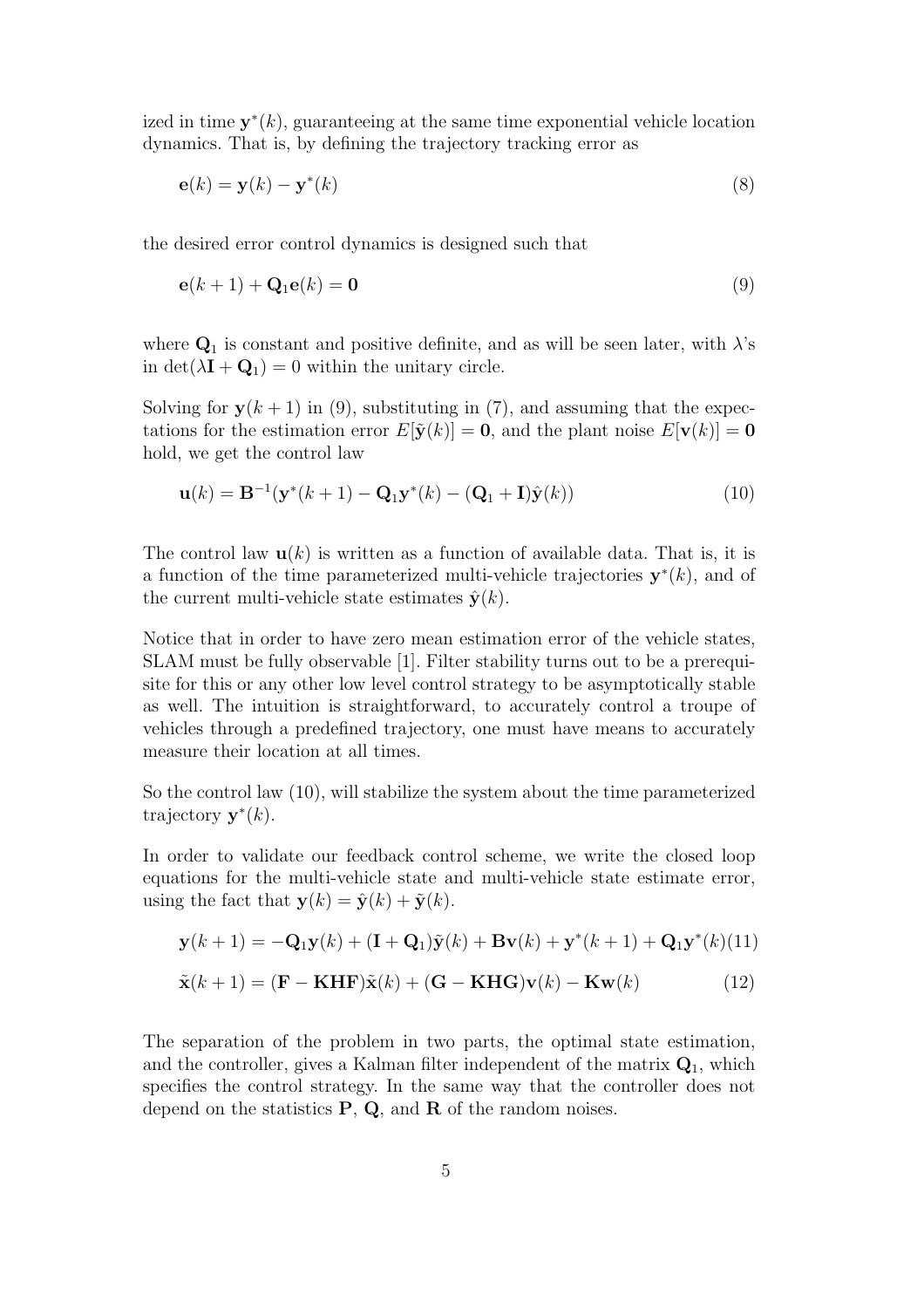ized in time  $y^*(k)$ , guaranteeing at the same time exponential vehicle location dynamics. That is, by defining the trajectory tracking error as

$$
\mathbf{e}(k) = \mathbf{y}(k) - \mathbf{y}^*(k) \tag{8}
$$

the desired error control dynamics is designed such that

$$
\mathbf{e}(k+1) + \mathbf{Q}_1 \mathbf{e}(k) = \mathbf{0} \tag{9}
$$

where  $\mathbf{Q}_1$  is constant and positive definite, and as will be seen later, with  $\lambda$ 's in det( $\lambda$ **I** + **Q**<sub>1</sub>) = 0 within the unitary circle.

Solving for  $y(k + 1)$  in (9), substituting in (7), and assuming that the expectations for the estimation error  $E[\tilde{\mathbf{y}}(k)] = \mathbf{0}$ , and the plant noise  $E[\mathbf{v}(k)] = \mathbf{0}$ hold, we get the control law

$$
\mathbf{u}(k) = \mathbf{B}^{-1}(\mathbf{y}^*(k+1) - \mathbf{Q}_1\mathbf{y}^*(k) - (\mathbf{Q}_1 + \mathbf{I})\hat{\mathbf{y}}(k))
$$
(10)

The control law  $\mathbf{u}(k)$  is written as a function of available data. That is, it is a function of the time parameterized multi-vehicle trajectories  $\mathbf{y}^*(k)$ , and of the current multi-vehicle state estimates  $\hat{\mathbf{y}}(k)$ .

Notice that in order to have zero mean estimation error of the vehicle states, SLAM must be fully observable [1]. Filter stability turns out to be a prerequisite for this or any other low level control strategy to be asymptotically stable as well. The intuition is straightforward, to accurately control a troupe of vehicles through a predefined trajectory, one must have means to accurately measure their location at all times.

So the control law (10), will stabilize the system about the time parameterized trajectory  $\mathbf{y}^*(k)$ .

In order to validate our feedback control scheme, we write the closed loop equations for the multi-vehicle state and multi-vehicle state estimate error, using the fact that  $y(k) = \hat{y}(k) + \tilde{y}(k)$ .

$$
\mathbf{y}(k+1) = -\mathbf{Q}_1 \mathbf{y}(k) + (\mathbf{I} + \mathbf{Q}_1) \tilde{\mathbf{y}}(k) + \mathbf{B} \mathbf{v}(k) + \mathbf{y}^*(k+1) + \mathbf{Q}_1 \mathbf{y}^*(k)(11)
$$

$$
\tilde{\mathbf{x}}(k+1) = (\mathbf{F} - \mathbf{K} \mathbf{H} \mathbf{F}) \tilde{\mathbf{x}}(k) + (\mathbf{G} - \mathbf{K} \mathbf{H} \mathbf{G}) \mathbf{v}(k) - \mathbf{K} \mathbf{w}(k)
$$
(12)

The separation of the problem in two parts, the optimal state estimation, and the controller, gives a Kalman filter independent of the matrix  $Q_1$ , which specifies the control strategy. In the same way that the controller does not depend on the statistics  $P$ ,  $Q$ , and  $R$  of the random noises.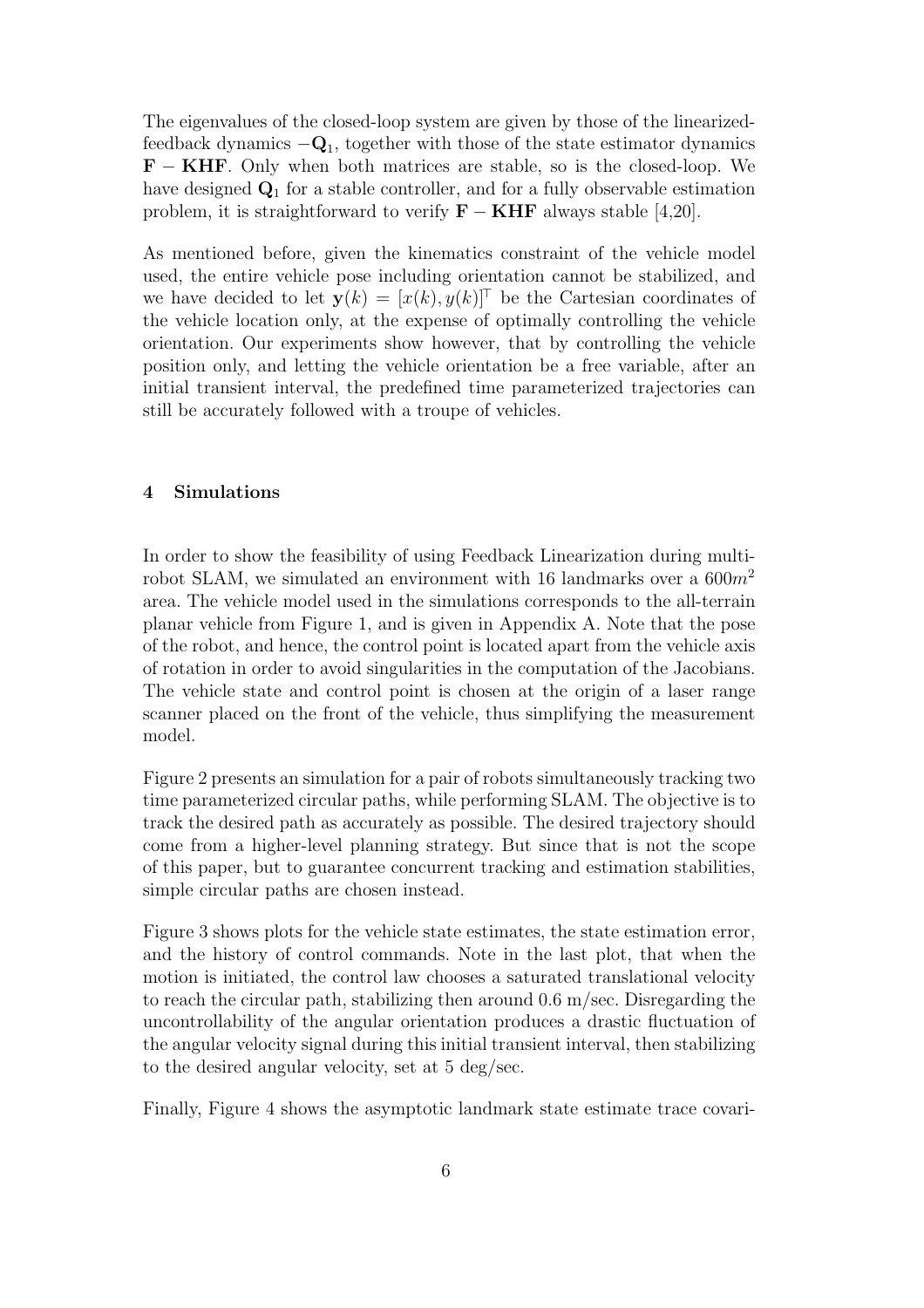The eigenvalues of the closed-loop system are given by those of the linearizedfeedback dynamics  $-Q_1$ , together with those of the state estimator dynamics **. Only when both matrices are stable, so is the closed-loop. We** have designed  $\mathbf{Q}_1$  for a stable controller, and for a fully observable estimation problem, it is straightforward to verify  $\mathbf{F} - \mathbf{K} \mathbf{H} \mathbf{F}$  always stable [4,20].

As mentioned before, given the kinematics constraint of the vehicle model used, the entire vehicle pose including orientation cannot be stabilized, and we have decided to let  $y(k) = [x(k), y(k)]^T$  be the Cartesian coordinates of the vehicle location only, at the expense of optimally controlling the vehicle orientation. Our experiments show however, that by controlling the vehicle position only, and letting the vehicle orientation be a free variable, after an initial transient interval, the predefined time parameterized trajectories can still be accurately followed with a troupe of vehicles.

#### 4 Simulations

In order to show the feasibility of using Feedback Linearization during multirobot SLAM, we simulated an environment with 16 landmarks over a  $600m^2$ area. The vehicle model used in the simulations corresponds to the all-terrain planar vehicle from Figure 1, and is given in Appendix A. Note that the pose of the robot, and hence, the control point is located apart from the vehicle axis of rotation in order to avoid singularities in the computation of the Jacobians. The vehicle state and control point is chosen at the origin of a laser range scanner placed on the front of the vehicle, thus simplifying the measurement model.

Figure 2 presents an simulation for a pair of robots simultaneously tracking two time parameterized circular paths, while performing SLAM. The objective is to track the desired path as accurately as possible. The desired trajectory should come from a higher-level planning strategy. But since that is not the scope of this paper, but to guarantee concurrent tracking and estimation stabilities, simple circular paths are chosen instead.

Figure 3 shows plots for the vehicle state estimates, the state estimation error, and the history of control commands. Note in the last plot, that when the motion is initiated, the control law chooses a saturated translational velocity to reach the circular path, stabilizing then around  $0.6 \text{ m/sec}$ . Disregarding the uncontrollability of the angular orientation produces a drastic fluctuation of the angular velocity signal during this initial transient interval, then stabilizing to the desired angular velocity, set at 5 deg/sec.

Finally, Figure 4 shows the asymptotic landmark state estimate trace covari-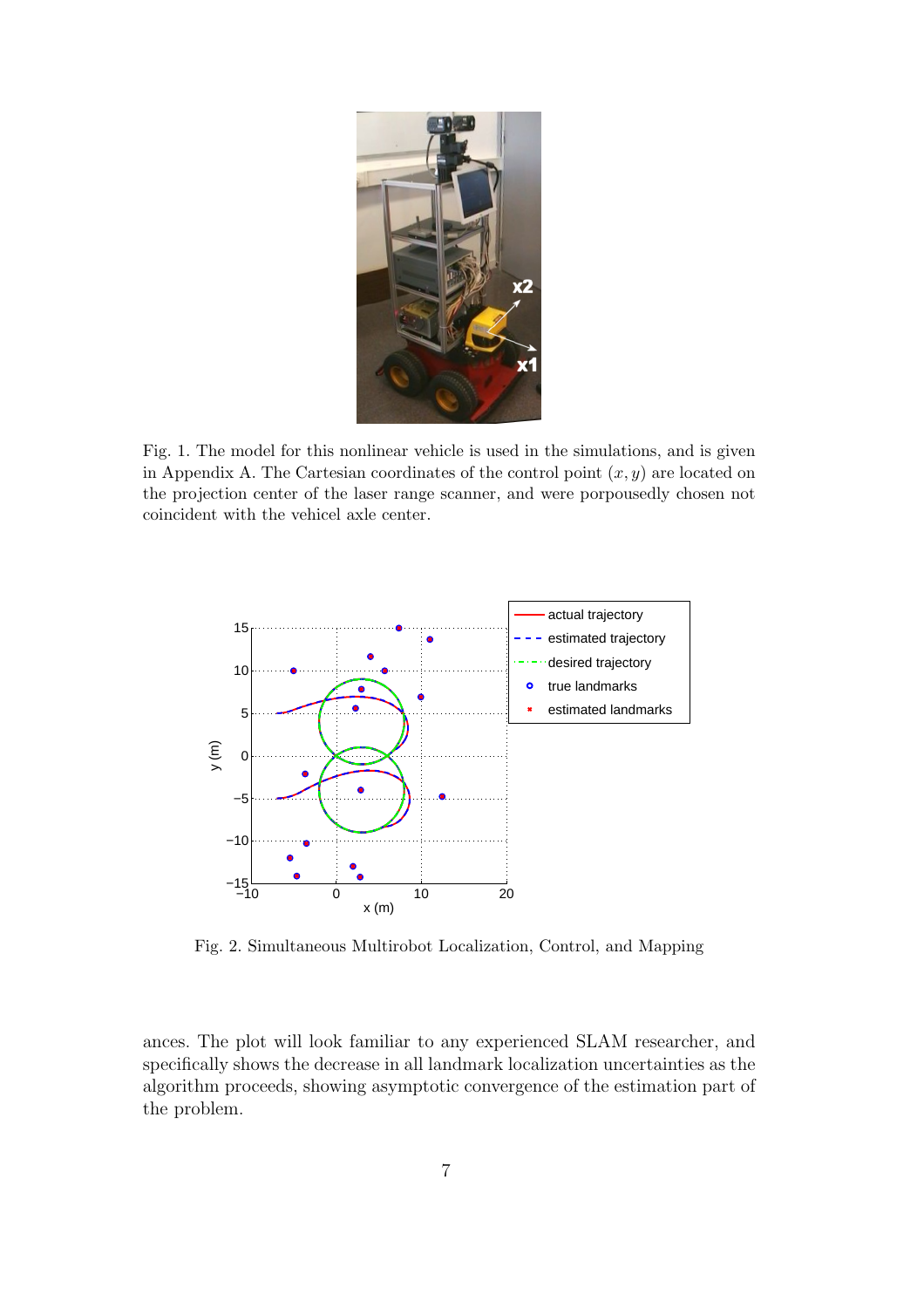

Fig. 1. The model for this nonlinear vehicle is used in the simulations, and is given in Appendix A. The Cartesian coordinates of the control point  $(x, y)$  are located on the projection center of the laser range scanner, and were porpousedly chosen not coincident with the vehicel axle center.



Fig. 2. Simultaneous Multirobot Localization, Control, and Mapping

ances. The plot will look familiar to any experienced SLAM researcher, and specifically shows the decrease in all landmark localization uncertainties as the algorithm proceeds, showing asymptotic convergence of the estimation part of the problem.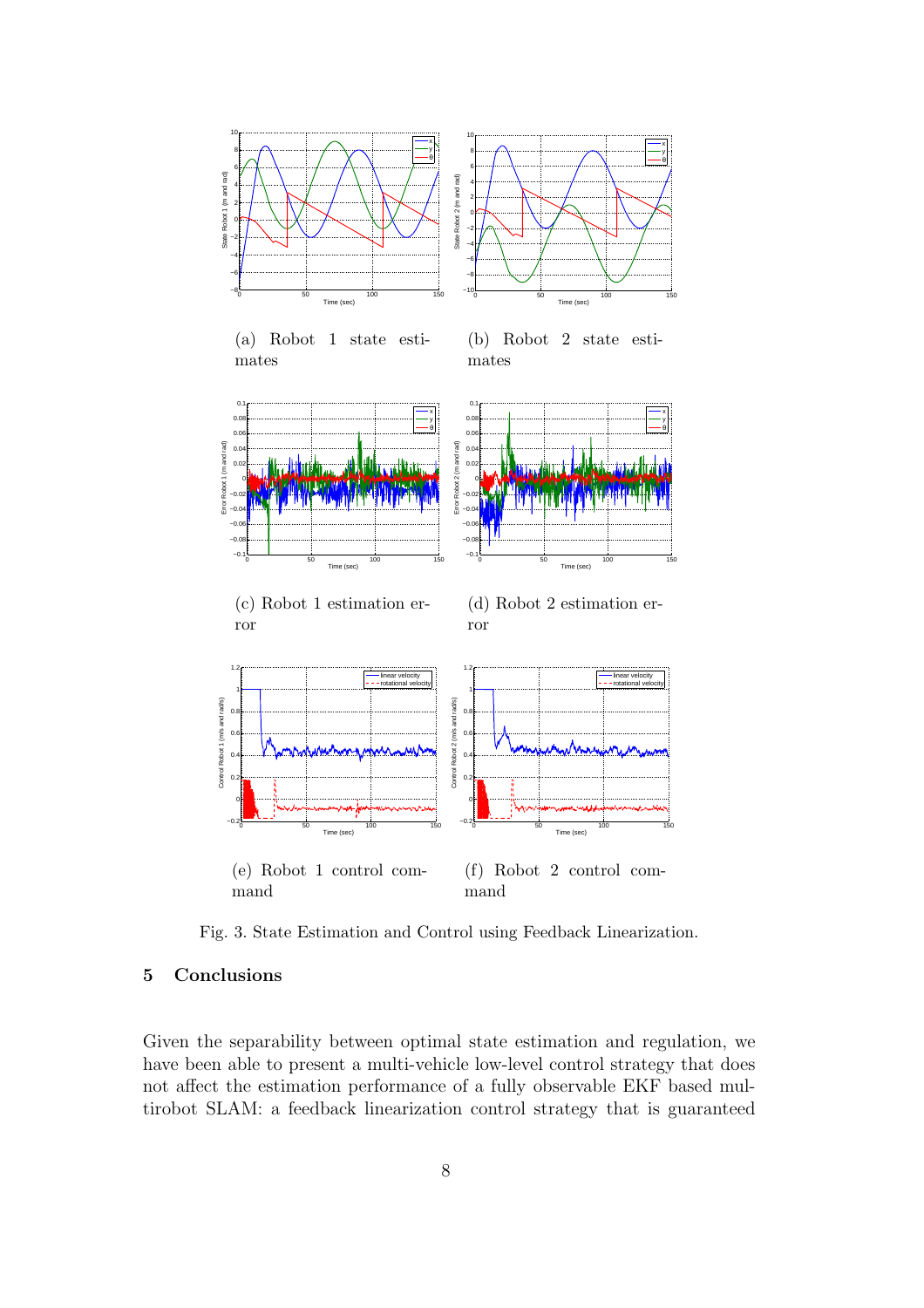

(e) Robot 1 control command (f) Robot 2 control command

Fig. 3. State Estimation and Control using Feedback Linearization.

## 5 Conclusions

Given the separability between optimal state estimation and regulation, we have been able to present a multi-vehicle low-level control strategy that does not affect the estimation performance of a fully observable EKF based multirobot SLAM: a feedback linearization control strategy that is guaranteed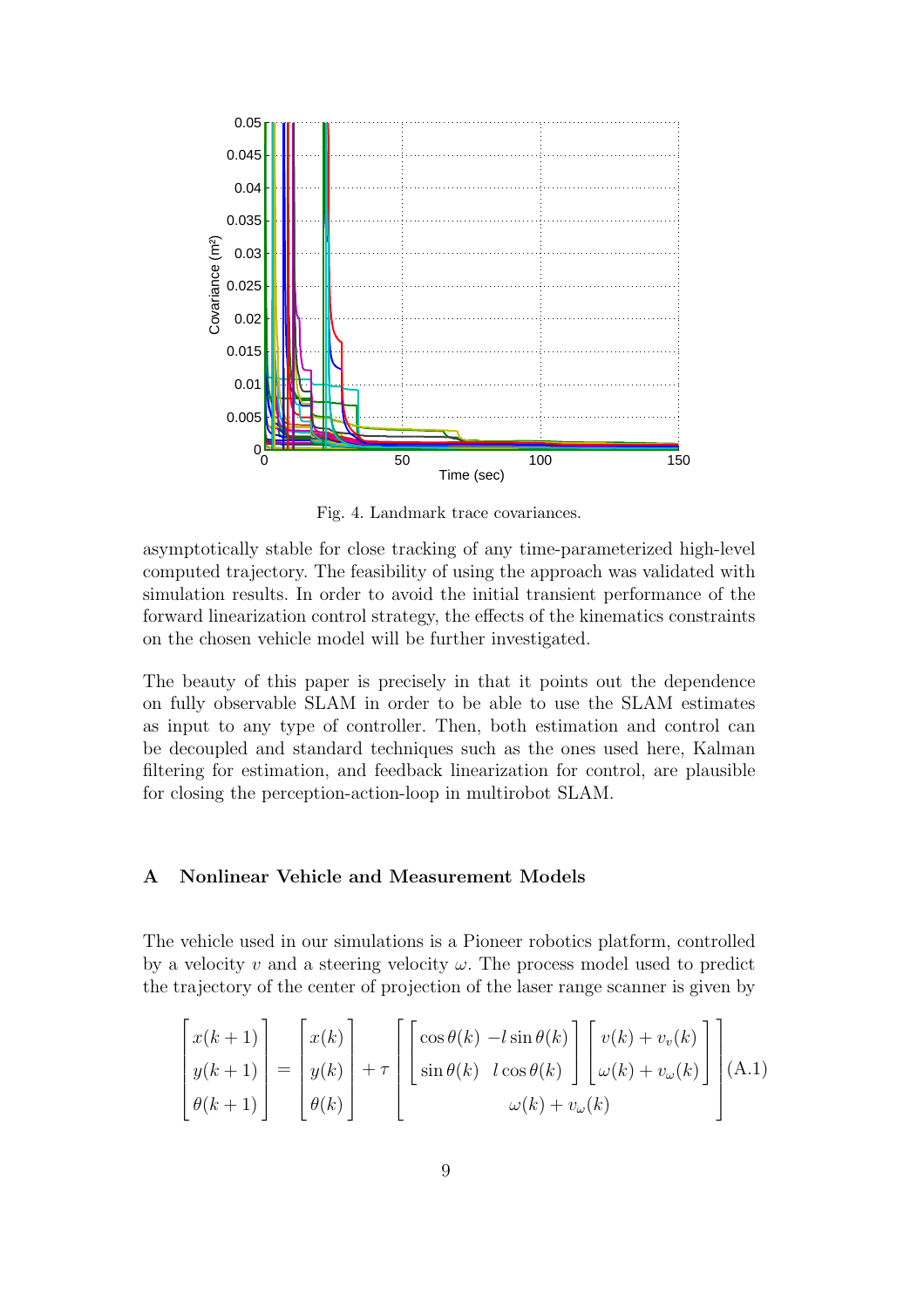

Fig. 4. Landmark trace covariances.

asymptotically stable for close tracking of any time-parameterized high-level computed trajectory. The feasibility of using the approach was validated with simulation results. In order to avoid the initial transient performance of the forward linearization control strategy, the effects of the kinematics constraints on the chosen vehicle model will be further investigated.

The beauty of this paper is precisely in that it points out the dependence on fully observable SLAM in order to be able to use the SLAM estimates as input to any type of controller. Then, both estimation and control can be decoupled and standard techniques such as the ones used here, Kalman filtering for estimation, and feedback linearization for control, are plausible for closing the perception-action-loop in multirobot SLAM.

## A Nonlinear Vehicle and Measurement Models

The vehicle used in our simulations is a Pioneer robotics platform, controlled by a velocity v and a steering velocity  $\omega$ . The process model used to predict the trajectory of the center of projection of the laser range scanner is given by

$$
\begin{bmatrix} x(k+1) \\ y(k+1) \\ \theta(k+1) \end{bmatrix} = \begin{bmatrix} x(k) \\ y(k) \\ \theta(k) \end{bmatrix} + \tau \begin{bmatrix} \cos \theta(k) - l \sin \theta(k) \\ \sin \theta(k) & l \cos \theta(k) \end{bmatrix} \begin{bmatrix} v(k) + v_v(k) \\ \omega(k) + v_\omega(k) \end{bmatrix} (A.1)
$$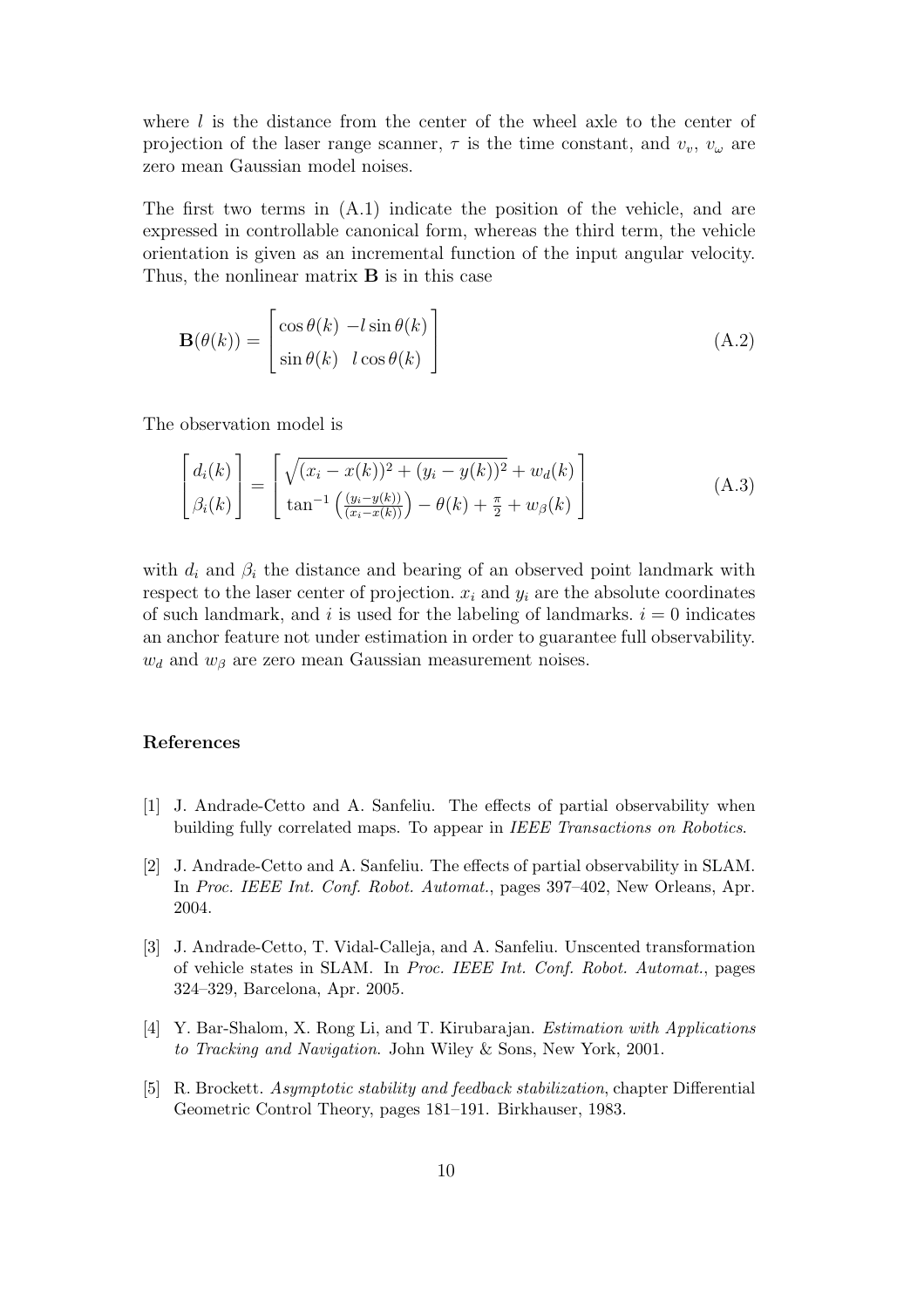where  $l$  is the distance from the center of the wheel axle to the center of projection of the laser range scanner,  $\tau$  is the time constant, and  $v_v$ ,  $v_\omega$  are zero mean Gaussian model noises.

The first two terms in (A.1) indicate the position of the vehicle, and are expressed in controllable canonical form, whereas the third term, the vehicle orientation is given as an incremental function of the input angular velocity. Thus, the nonlinear matrix **B** is in this case

$$
\mathbf{B}(\theta(k)) = \begin{bmatrix} \cos \theta(k) & -l \sin \theta(k) \\ \sin \theta(k) & l \cos \theta(k) \end{bmatrix}
$$
 (A.2)

The observation model is

$$
\begin{bmatrix} d_i(k) \\ \beta_i(k) \end{bmatrix} = \begin{bmatrix} \sqrt{(x_i - x(k))^2 + (y_i - y(k))^2} + w_d(k) \\ \tan^{-1} \left( \frac{(y_i - y(k))}{(x_i - x(k))} \right) - \theta(k) + \frac{\pi}{2} + w_\beta(k) \end{bmatrix}
$$
(A.3)

with  $d_i$  and  $\beta_i$  the distance and bearing of an observed point landmark with respect to the laser center of projection.  $x_i$  and  $y_i$  are the absolute coordinates of such landmark, and i is used for the labeling of landmarks.  $i = 0$  indicates an anchor feature not under estimation in order to guarantee full observability.  $w_d$  and  $w_\beta$  are zero mean Gaussian measurement noises.

## References

- [1] J. Andrade-Cetto and A. Sanfeliu. The effects of partial observability when building fully correlated maps. To appear in IEEE Transactions on Robotics.
- [2] J. Andrade-Cetto and A. Sanfeliu. The effects of partial observability in SLAM. In Proc. IEEE Int. Conf. Robot. Automat., pages 397–402, New Orleans, Apr. 2004.
- [3] J. Andrade-Cetto, T. Vidal-Calleja, and A. Sanfeliu. Unscented transformation of vehicle states in SLAM. In Proc. IEEE Int. Conf. Robot. Automat., pages 324–329, Barcelona, Apr. 2005.
- [4] Y. Bar-Shalom, X. Rong Li, and T. Kirubarajan. Estimation with Applications to Tracking and Navigation. John Wiley & Sons, New York, 2001.
- [5] R. Brockett. Asymptotic stability and feedback stabilization, chapter Differential Geometric Control Theory, pages 181–191. Birkhauser, 1983.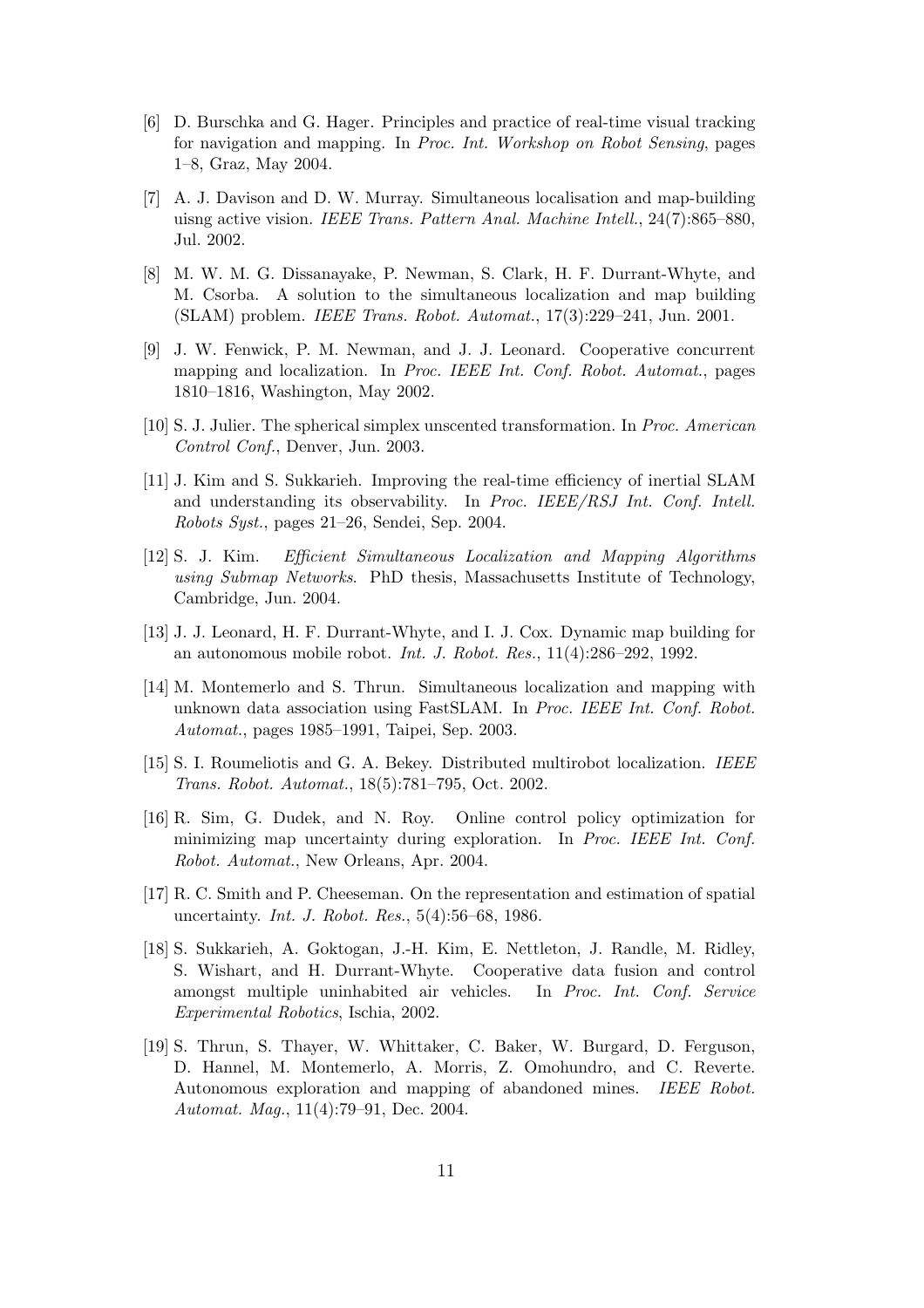- [6] D. Burschka and G. Hager. Principles and practice of real-time visual tracking for navigation and mapping. In Proc. Int. Workshop on Robot Sensing, pages 1–8, Graz, May 2004.
- [7] A. J. Davison and D. W. Murray. Simultaneous localisation and map-building uisng active vision. IEEE Trans. Pattern Anal. Machine Intell., 24(7):865–880, Jul. 2002.
- [8] M. W. M. G. Dissanayake, P. Newman, S. Clark, H. F. Durrant-Whyte, and M. Csorba. A solution to the simultaneous localization and map building (SLAM) problem. IEEE Trans. Robot. Automat., 17(3):229–241, Jun. 2001.
- [9] J. W. Fenwick, P. M. Newman, and J. J. Leonard. Cooperative concurrent mapping and localization. In Proc. IEEE Int. Conf. Robot. Automat., pages 1810–1816, Washington, May 2002.
- [10] S. J. Julier. The spherical simplex unscented transformation. In Proc. American Control Conf., Denver, Jun. 2003.
- [11] J. Kim and S. Sukkarieh. Improving the real-time efficiency of inertial SLAM and understanding its observability. In Proc. IEEE/RSJ Int. Conf. Intell. Robots Syst., pages 21–26, Sendei, Sep. 2004.
- [12] S. J. Kim. Efficient Simultaneous Localization and Mapping Algorithms using Submap Networks. PhD thesis, Massachusetts Institute of Technology, Cambridge, Jun. 2004.
- [13] J. J. Leonard, H. F. Durrant-Whyte, and I. J. Cox. Dynamic map building for an autonomous mobile robot. Int. J. Robot. Res., 11(4):286–292, 1992.
- [14] M. Montemerlo and S. Thrun. Simultaneous localization and mapping with unknown data association using FastSLAM. In Proc. IEEE Int. Conf. Robot. Automat., pages 1985–1991, Taipei, Sep. 2003.
- [15] S. I. Roumeliotis and G. A. Bekey. Distributed multirobot localization. IEEE Trans. Robot. Automat., 18(5):781–795, Oct. 2002.
- [16] R. Sim, G. Dudek, and N. Roy. Online control policy optimization for minimizing map uncertainty during exploration. In Proc. IEEE Int. Conf. Robot. Automat., New Orleans, Apr. 2004.
- [17] R. C. Smith and P. Cheeseman. On the representation and estimation of spatial uncertainty. Int. J. Robot. Res., 5(4):56–68, 1986.
- [18] S. Sukkarieh, A. Goktogan, J.-H. Kim, E. Nettleton, J. Randle, M. Ridley, S. Wishart, and H. Durrant-Whyte. Cooperative data fusion and control amongst multiple uninhabited air vehicles. In Proc. Int. Conf. Service Experimental Robotics, Ischia, 2002.
- [19] S. Thrun, S. Thayer, W. Whittaker, C. Baker, W. Burgard, D. Ferguson, D. Hannel, M. Montemerlo, A. Morris, Z. Omohundro, and C. Reverte. Autonomous exploration and mapping of abandoned mines. IEEE Robot. Automat. Mag., 11(4):79–91, Dec. 2004.